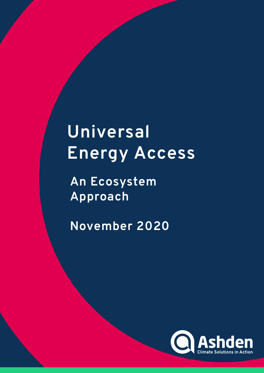# **Universal Energy Access**

**An Ecosystem Approach**

**November 2020**

November 2020

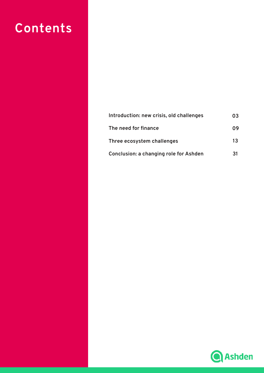## **Contents**

| Introduction: new crisis, old challenges | 03 |
|------------------------------------------|----|
| The need for finance                     | 09 |
| Three ecosystem challenges               | 13 |
| Conclusion: a changing role for Ashden   | 31 |

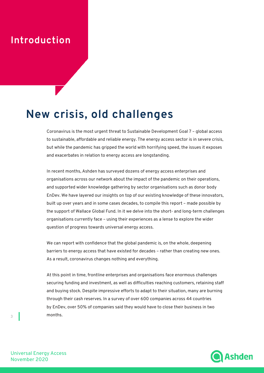### **Introduction**

## **New crisis, old challenges**

Coronavirus is the most urgent threat to Sustainable Development Goal 7 – global access to sustainable, affordable and reliable energy. The energy access sector is in severe crisis, but while the pandemic has gripped the world with horrifying speed, the issues it exposes and exacerbates in relation to energy access are longstanding.

In recent months, Ashden has surveyed dozens of energy access enterprises and organisations across our network about the impact of the pandemic on their operations, and supported wider knowledge gathering by sector organisations such as donor body EnDev. We have layered our insights on top of our existing knowledge of these innovators, built up over years and in some cases decades, to compile this report – made possible by the support of Wallace Global Fund. In it we delve into the short- and long-term challenges organisations currently face – using their experiences as a lense to explore the wider question of progress towards universal energy access.

We can report with confidence that the global pandemic is, on the whole, deepening barriers to energy access that have existed for decades – rather than creating new ones. As a result, coronavirus changes nothing and everything.

At this point in time, frontline enterprises and organisations face enormous challenges securing funding and investment, as well as difficulties reaching customers, retaining staff and buying stock. Despite impressive efforts to adapt to their situation, many are burning through their cash reserves. In a survey of over 600 companies across 44 countries by EnDev, over 50% of companies said they would have to close their business in two months.



Universal Energy Access November 2020

 $\overline{3}$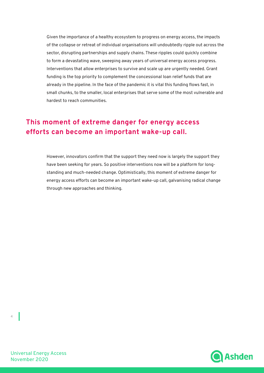Given the importance of a healthy ecosystem to progress on energy access, the impacts of the collapse or retreat of individual organisations will undoubtedly ripple out across the sector, disrupting partnerships and supply chains. These ripples could quickly combine to form a devastating wave, sweeping away years of universal energy access progress. Interventions that allow enterprises to survive and scale up are urgently needed. Grant funding is the top priority to complement the concessional loan relief funds that are already in the pipeline. In the face of the pandemic it is vital this funding flows fast, in small chunks, to the smaller, local enterprises that serve some of the most vulnerable and hardest to reach communities.

### **This moment of extreme danger for energy access efforts can become an important wake-up call.**

However, innovators confirm that the support they need now is largely the support they have been seeking for years. So positive interventions now will be a platform for longstanding and much-needed change. Optimistically, this moment of extreme danger for energy access efforts can become an important wake-up call, galvanising radical change through new approaches and thinking.



Universal Energy Access November 2020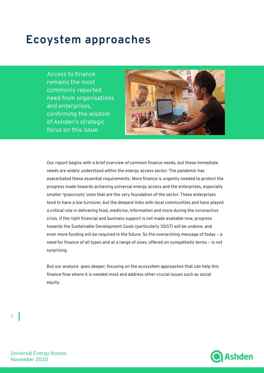## **Ecoystem approaches**

Access to finance remains the most commonly reported need from organisations and enterprises, confirming the wisdom of Ashden's strategic focus on this issue.



Our report begins with a brief overview of common finance needs, but these immediate needs are widely understood within the energy access sector. The pandemic has exacerbated these essential requirements. More finance is urgently needed to protect the progress made towards achieving universal energy access and the enterprises, especially smaller 'grassroots' ones that are the very foundation of the sector. These enterprises tend to have a low turnover, but the deepest links with local communities and have played a critical role in delivering food, medicine, information and more during the coronavirus crisis. If the right financial and business support is not made available now, progress towards the Sustainable Development Goals (particularly SDG7) will be undone, and even more funding will be required in the future. So the overarching message of today – a need for finance of all types and at a range of sizes, offered on sympathetic terms – is not surprising.

But our analysis goes deeper, focusing on the ecosystem approaches that can help this finance flow where it is needed most and address other crucial issues such as social equity.



Universal Energy Access November 2020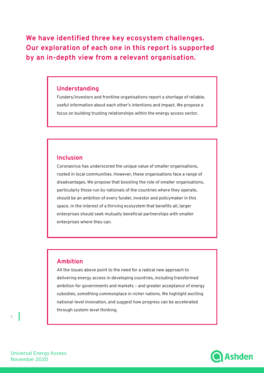**We have identified three key ecosystem challenges. Our exploration of each one in this report is supported by an in-depth view from a relevant organisation.**

#### **Understanding**

Funders/investors and frontline organisations report a shortage of reliable, useful information about each other's intentions and impact. We propose a focus on building trusting relationships within the energy access sector.

#### **Inclusion**

Coronavirus has underscored the unique value of smaller organisations, rooted in local communities. However, these organisations face a range of disadvantages. We propose that boosting the role of smaller organisations, particularly those run by nationals of the countries where they operate, should be an ambition of every funder, investor and policymaker in this space. In the interest of a thriving ecosystem that benefits all, larger enterprises should seek mutually beneficial partnerships with smaller enterprises where they can.

#### **Ambition**

All the issues above point to the need for a radical new approach to delivering energy access in developing countries, including transformed ambition for governments and markets – and greater acceptance of energy subsidies, something commonplace in richer nations. We highlight exciting national-level innovation, and suggest how progress can be accelerated through system-level thinking.



Universal Energy Access November 2020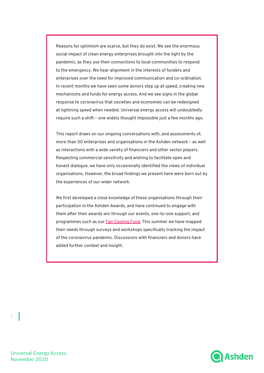Reasons for optimism are scarce, but they do exist. We see the enormous social impact of clean energy enterprises brought into the light by the pandemic, as they use their connections to local communities to respond to the emergency. We hear alignment in the interests of funders and enterprises over the need for improved communication and co-ordination. In recent months we have seen some donors step up at speed, creating new mechanisms and funds for energy access. And we see signs in the global response to coronavirus that societies and economies can be redesigned at lightning speed when needed. Universal energy access will undoubtedly require such a shift – one widely thought impossible just a few months ago.

This report draws on our ongoing conversations with, and assessments of, more than 50 enterprises and organisations in the Ashden network – as well as interactions with a wide variety of financiers and other sector players. Respecting commercial sensitivity and wishing to facilitate open and honest dialogue, we have only occasionally identified the views of individual organisations. However, the broad findings we present here were born out by the experiences of our wider network.

We first developed a close knowledge of these organisations through their participation in the Ashden Awards, and have continued to engage with them after their awards win through our events, one-to-one support, and programmes such as our **Fair Cooling Fund**. This summer we have mapped their needs through surveys and workshops specifically tracking the impact of the coronavirus pandemic. Discussions with financiers and donors have added further context and insight.



Universal Energy Access November 2020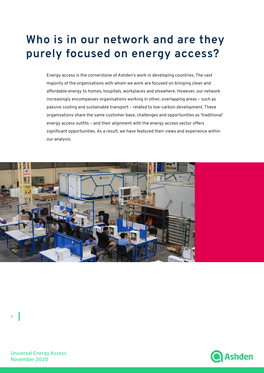## **Who is in our network and are they purely focused on energy access?**

Energy access is the cornerstone of Ashden's work in developing countries. The vast majority of the organisations with whom we work are focused on bringing clean and affordable energy to homes, hospitals, workplaces and elsewhere. However, our network increasingly encompasses organisations working in other, overlapping areas – such as passive cooling and sustainable transport – related to low-carbon development. These organisations share the same customer base, challenges and opportunities as 'traditional' energy access outfits – and their alignment with the energy access sector offers significant opportunities. As a result, we have featured their views and experience within our analysis.





Universal Energy Access November 2020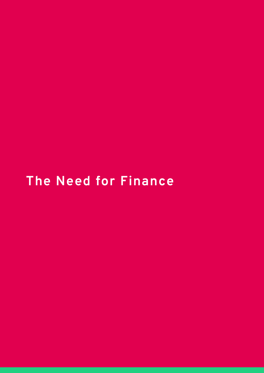## **The Need for Finance**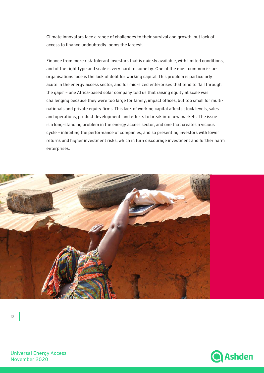Climate innovators face a range of challenges to their survival and growth, but lack of access to finance undoubtedly looms the largest.

Finance from more risk-tolerant investors that is quickly available, with limited conditions, and of the right type and scale is very hard to come by. One of the most common issues organisations face is the lack of debt for working capital. This problem is particularly acute in the energy access sector, and for mid-sized enterprises that tend to 'fall through the gaps' – one Africa-based solar company told us that raising equity at scale was challenging because they were too large for family, impact offices, but too small for multinationals and private equity firms. This lack of working capital affects stock levels, sales and operations, product development, and efforts to break into new markets. The issue is a long-standing problem in the energy access sector, and one that creates a vicious cycle – inhibiting the performance of companies, and so presenting investors with lower returns and higher investment risks, which in turn discourage investment and further harm enterprises.



10

Universal Energy Access November 2020

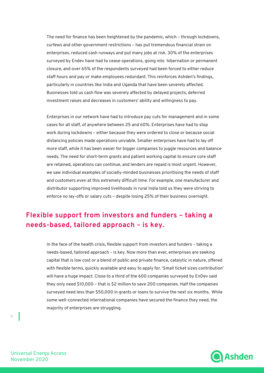The need for finance has been heightened by the pandemic, which – through lockdowns, curfews and other government restrictions – has put tremendous financial strain on enterprises, reduced cash runways and put many jobs at risk. 30% of the enterprises surveyed by Endev have had to cease operations, going into hibernation or permanent closure, and over 65% of the respondents surveyed had been forced to either reduce staff hours and pay or make employees redundant. This reinforces Ashden's findings, particularly in countries like India and Uganda that have been severely affected. Businesses told us cash flow was severely affected by delayed projects, deferred investment raises and decreases in customers' ability and willingness to pay.

Enterprises in our network have had to introduce pay cuts for management and in some cases for all staff, of anywhere between 25 and 60%. Enterprises have had to stop work during lockdowns – either because they were ordered to close or because social distancing policies made operations unviable. Smaller enterprises have had to lay off more staff, while it has been easier for bigger companies to juggle resources and balance needs. The need for short-term grants and patient working capital to ensure core staff are retained, operations can continue, and lenders are repaid is most urgent. However, we saw individual examples of socially-minded businesses prioritising the needs of staff and customers even at this extremely difficult time. For example, one manufacturer and distributor supporting improved livelihoods in rural India told us they were striving to enforce no lay-offs or salary cuts – despite losing 25% of their business overnight.

### **Flexible support from investors and funders – taking a needs-based, tailored approach – is key.**

In the face of the health crisis, flexible support from investors and funders – taking a needs-based, tailored approach – is key. Now more than ever, enterprises are seeking capital that is low cost or a blend of public and private finance, catalytic in nature, offered with flexible terms, quickly available and easy to apply for. 'Small ticket sizes contribution' will have a huge impact. Close to a third of the 600 companies surveyed by EnDev said they only need \$10,000 – that is \$2 million to save 200 companies. Half the companies surveyed need less than \$50,000 in grants or loans to survive the next six months. While some well-connected international companies have secured the finance they need, the majority of enterprises are struggling.



Universal Energy Access November 2020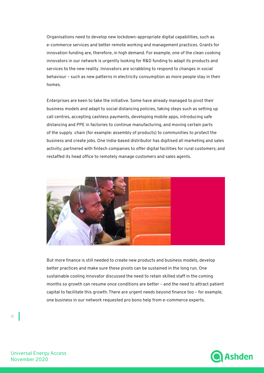Organisations need to develop new lockdown-appropriate digital capabilities, such as e-commerce services and better remote working and management practices. Grants for innovation funding are, therefore, in high demand. For example, one of the clean cooking innovators in our network is urgently looking for R&D funding to adapt its products and services to the new reality. Innovators are scrabbling to respond to changes in social behaviour – such as new patterns in electricity consumption as more people stay in their homes.

Enterprises are keen to take the initiative. Some have already managed to pivot their business models and adapt to social distancing policies, taking steps such as setting up call centres, accepting cashless payments, developing mobile apps, introducing safe distancing and PPE in factories to continue manufacturing, and moving certain parts of the supply chain (for example: assembly of products) to communities to protect the business and create jobs. One India-based distributor has digitised all marketing and sales activity; partnered with fintech companies to offer digital facilities for rural customers; and restaffed its head office to remotely manage customers and sales agents.



But more finance is still needed to create new products and business models, develop better practices and make sure these pivots can be sustained in the long run. One sustainable cooling innovator discussed the need to retain skilled staff in the coming months so growth can resume once conditions are better – and the need to attract patient capital to facilitate this growth. There are urgent needs beyond finance too – for example, one business in our network requested pro bono help from e-commerce experts.



Universal Energy Access November 2020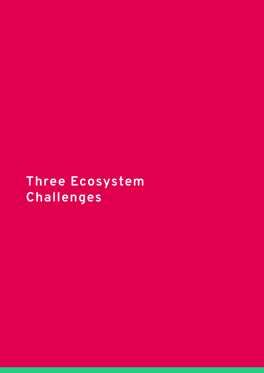**Three Ecosystem Challenges**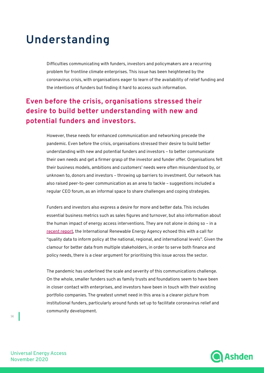## **Understanding**

Difficulties communicating with funders, investors and policymakers are a recurring problem for frontline climate enterprises. This issue has been heightened by the coronavirus crisis, with organisations eager to learn of the availability of relief funding and the intentions of funders but finding it hard to access such information.

### **Even before the crisis, organisations stressed their desire to build better understanding with new and potential funders and investors.**

However, these needs for enhanced communication and networking precede the pandemic. Even before the crisis, organisations stressed their desire to build better understanding with new and potential funders and investors – to better communicate their own needs and get a firmer grasp of the investor and funder offer. Organisations felt their business models, ambitions and customers' needs were often misunderstood by, or unknown to, donors and investors – throwing up barriers to investment. Our network has also raised peer-to-peer communication as an area to tackle – suggestions included a regular CEO forum, as an informal space to share challenges and coping strategies.

Funders and investors also express a desire for more and better data. This includes essential business metrics such as sales figures and turnover, but also information about the human impact of energy access interventions. They are not alone in doing so – in a recent report, the International Renewable Energy Agency echoed this with a call for "quality data to inform policy at the national, regional, and international levels". Given the clamour for better data from multiple stakeholders, in order to serve both finance and policy needs, there is a clear argument for prioritising this issue across the sector.

The pandemic has underlined the scale and severity of this communications challenge. On the whole, smaller funders such as family trusts and foundations seem to have been in closer contact with enterprises, and investors have been in touch with their existing portfolio companies. The greatest unmet need in this area is a clearer picture from institutional funders, particularly around funds set up to facilitate coronavirus relief and community development.



Universal Energy Access November 2020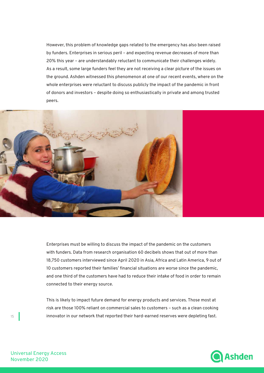However, this problem of knowledge gaps related to the emergency has also been raised by funders. Enterprises in serious peril – and expecting revenue decreases of more than 20% this year – are understandably reluctant to communicate their challenges widely. As a result, some large funders feel they are not receiving a clear picture of the issues on the ground. Ashden witnessed this phenomenon at one of our recent events, where on the whole enterprises were reluctant to discuss publicly the impact of the pandemic in front of donors and investors – despite doing so enthusiastically in private and among trusted peers.



Enterprises must be willing to discuss the impact of the pandemic on the customers with funders. Data from research organisation 60 decibels shows that out of more than 18,750 customers interviewed since April 2020 in Asia, Africa and Latin America, 9 out of 10 customers reported their families' financial situations are worse since the pandemic, and one third of the customers have had to reduce their intake of food in order to remain connected to their energy source.

This is likely to impact future demand for energy products and services. Those most at risk are those 100% reliant on commercial sales to customers – such as a clean cooking innovator in our network that reported their hard-earned reserves were depleting fast.



Universal Energy Access November 2020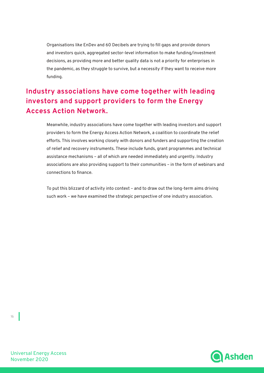Organisations like EnDev and 60 Decibels are trying to fill gaps and provide donors and investors quick, aggregated sector-level information to make funding/investment decisions, as providing more and better quality data is not a priority for enterprises in the pandemic, as they struggle to survive, but a necessity if they want to receive more funding.

### **Industry associations have come together with leading investors and support providers to form the Energy Access Action Network.**

Meanwhile, industry associations have come together with leading investors and support providers to form the Energy Access Action Network, a coalition to coordinate the relief efforts. This involves working closely with donors and funders and supporting the creation of relief and recovery instruments. These include funds, grant programmes and technical assistance mechanisms – all of which are needed immediately and urgently. Industry associations are also providing support to their communities – in the form of webinars and connections to finance.

To put this blizzard of activity into context – and to draw out the long-term aims driving such work – we have examined the strategic perspective of one industry association.



Universal Energy Access November 2020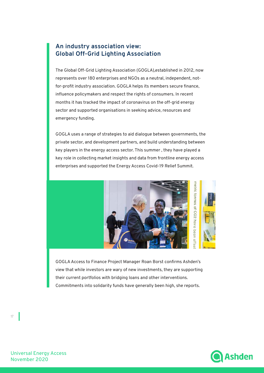#### **An industry association view: Global Off-Grid Lighting Association**

The Global Off-Grid Lighting Association (GOGLA),established in 2012, now represents over 180 enterprises and NGOs as a neutral, independent, notfor-profit industry association. GOGLA helps its members secure finance, influence policymakers and respect the rights of consumers. In recent months it has tracked the impact of coronavirus on the off-grid energy sector and supported organisations in seeking advice, resources and emergency funding.

GOGLA uses a range of strategies to aid dialogue between governments, the private sector, and development partners, and build understanding between key players in the energy access sector. This summer , they have played a key role in collecting market insights and data from frontline energy access enterprises and supported the Energy Access Covid-19 Relief Summit.



GOGLA Access to Finance Project Manager Roan Borst confirms Ashden's view that while investors are wary of new investments, they are supporting their current portfolios with bridging loans and other interventions. Commitments into solidarity funds have generally been high, she reports.

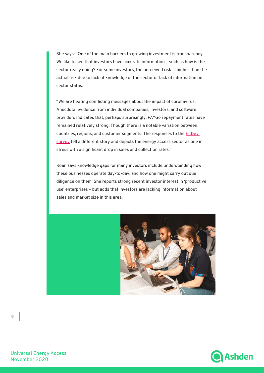She says: "One of the main barriers to growing investment is transparency. We like to see that investors have accurate information – such as how is the sector really doing? For some investors, the perceived risk is higher than the actual risk due to lack of knowledge of the sector or lack of information on sector status.

"We are hearing conflicting messages about the impact of coronavirus. Anecdotal evidence from individual companies, investors, and software providers indicates that, perhaps surprisingly, PAYGo repayment rates have remained relatively strong. Though there is a notable variation between countries, regions, and customer segments. The responses to the EnDev survey tell a different story and depicts the energy access sector as one in stress with a significant drop in sales and collection rates."

Roan says knowledge gaps for many investors include understanding how these businesses operate day-to-day, and how one might carry out due diligence on them. She reports strong recent investor interest in 'productive use' enterprises – but adds that investors are lacking information about sales and market size in this area.





Universal Energy Access November 2020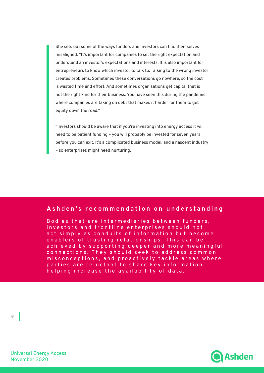She sets out some of the ways funders and investors can find themselves misaligned. "It's important for companies to set the right expectation and understand an investor's expectations and interests. It is also important for entrepreneurs to know which investor to talk to. Talking to the wrong investor creates problems. Sometimes these conversations go nowhere, so the cost is wasted time and effort. And sometimes organisations get capital that is not the right kind for their business. You have seen this during the pandemic, where companies are taking on debt that makes it harder for them to get equity down the road."

"Investors should be aware that if you're investing into energy access it will need to be patient funding – you will probably be invested for seven years before you can exit. It's a complicated business model, and a nascent industry – so enterprises might need nurturing."

#### **Ashden's recommendation on understanding**

Bodies that are intermediaries between funders, investors and frontline enterprises should not act simply as conduits of information but become en ablers of trusting relationships. This can be achieved by supporting deeper and more meaningful connections. They should seek to address common misconceptions, and proactively tackle areas where parties are reluctant to share key information, helping increase the availability of data.

**Ashden** 

Universal Energy Access November 2020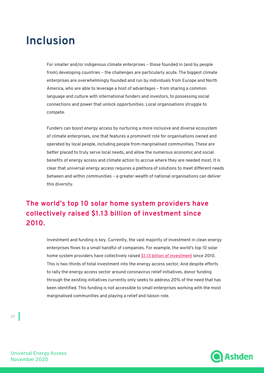## **Inclusion**

For smaller and/or indigenous climate enterprises – those founded in (and by people from) developing countries – the challenges are particularly acute. The biggest climate enterprises are overwhelmingly founded and run by individuals from Europe and North America, who are able to leverage a host of advantages – from sharing a common language and culture with international funders and investors, to possessing social connections and power that unlock opportunities. Local organisations struggle to compete.

Funders can boost energy access by nurturing a more inclusive and diverse ecosystem of climate enterprises, one that features a prominent role for organisations owned and operated by local people, including people from marginalised communities. These are better placed to truly serve local needs, and allow the numerous economic and social benefits of energy access and climate action to accrue where they are needed most. It is clear that universal energy access requires a plethora of solutions to meet different needs between and within communities – a greater wealth of national organisations can deliver this diversity.

### **The world's top 10 solar home system providers have collectively raised \$1.13 billion of investment since 2010.**

Investment and funding is key. Currently, the vast majority of investment in clean energy enterprises flows to a small handful of companies. For example, the world's top 10 solar home system providers have collectively raised \$1.13 billion of investment since 2010. This is two-thirds of total investment into the energy access sector. And despite efforts to rally the energy access sector around coronavirus relief initiatives, donor funding through the existing initiatives currently only seeks to address 20% of the need that has been identified. This funding is not accessible to small enterprises working with the most marginalised communities and playing a relief and liaison role.

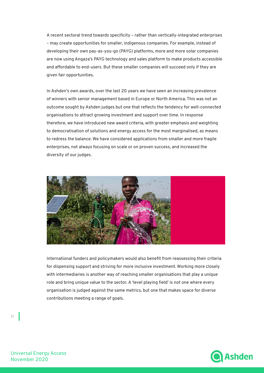A recent sectoral trend towards specificity – rather than vertically-integrated enterprises – may create opportunities for smaller, indigenous companies. For example, instead of developing their own pay-as-you-go (PAYG) platforms, more and more solar companies are now using Angaza's PAYG technology and sales platform to make products accessible and affordable to end-users. But these smaller companies will succeed only if they are given fair opportunities.

In Ashden's own awards, over the last 20 years we have seen an increasing prevalence of winners with senior management based in Europe or North America. This was not an outcome sought by Ashden judges but one that reflects the tendency for well-connected organisations to attract growing investment and support over time. In response therefore, we have introduced new award criteria, with greater emphasis and weighting to democratisation of solutions and energy access for the most marginalised, as means to redress the balance. We have considered applications from smaller and more fragile enterprises, not always focusing on scale or on proven success, and increased the diversity of our judges.



International funders and policymakers would also benefit from reassessing their criteria for dispensing support and striving for more inclusive investment. Working more closely with intermediaries is another way of reaching smaller organisations that play a unique role and bring unique value to the sector. A 'level playing field' is not one where every organisation is judged against the same metrics, but one that makes space for diverse contributions meeting a range of goals.



Universal Energy Access November 2020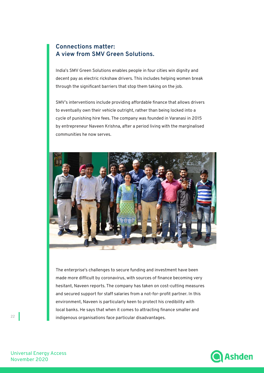#### **Connections matter: A view from SMV Green Solutions.**

India's SMV Green Solutions enables people in four cities win dignity and decent pay as electric rickshaw drivers. This includes helping women break through the significant barriers that stop them taking on the job.

SMV's interventions include providing affordable finance that allows drivers to eventually own their vehicle outright, rather than being locked into a cycle of punishing hire fees. The company was founded in Varanasi in 2015 by entrepreneur Naveen Krishna, after a period living with the marginalised communities he now serves.



The enterprise's challenges to secure funding and investment have been made more difficult by coronavirus, with sources of finance becoming very hesitant, Naveen reports. The company has taken on cost-cutting measures and secured support for staff salaries from a not-for-profit partner. In this environment, Naveen is particularly keen to protect his credibility with local banks. He says that when it comes to attracting finance smaller and indigenous organisations face particular disadvantages.



Universal Energy Access November 2020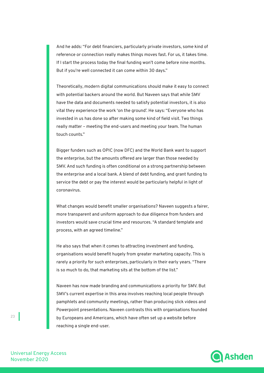And he adds: "For debt financiers, particularly private investors, some kind of reference or connection really makes things moves fast. For us, it takes time. If I start the process today the final funding won't come before nine months. But if you're well connected it can come within 30 days."

Theoretically, modern digital communications should make it easy to connect with potential backers around the world. But Naveen says that while SMV have the data and documents needed to satisfy potential investors, it is also vital they experience the work 'on the ground'. He says: "Everyone who has invested in us has done so after making some kind of field visit. Two things really matter – meeting the end-users and meeting your team. The human touch counts."

Bigger funders such as OPIC (now DFC) and the World Bank want to support the enterprise, but the amounts offered are larger than those needed by SMV. And such funding is often conditional on a strong partnership between the enterprise and a local bank. A blend of debt funding, and grant funding to service the debt or pay the interest would be particularly helpful in light of coronavirus.

What changes would benefit smaller organisations? Naveen suggests a fairer, more transparent and uniform approach to due diligence from funders and investors would save crucial time and resources. "A standard template and process, with an agreed timeline."

He also says that when it comes to attracting investment and funding, organisations would benefit hugely from greater marketing capacity. This is rarely a priority for such enterprises, particularly in their early years. "There is so much to do, that marketing sits at the bottom of the list."

Naveen has now made branding and communications a priority for SMV. But SMV's current expertise in this area involves reaching local people through pamphlets and community meetings, rather than producing slick videos and Powerpoint presentations. Naveen contrasts this with organisations founded by Europeans and Americans, which have often set up a website before reaching a single end-user.



Universal Energy Access November 2020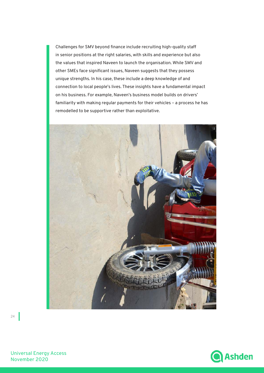Challenges for SMV beyond finance include recruiting high-quality staff in senior positions at the right salaries, with skills and experience but also the values that inspired Naveen to launch the organisation. While SMV and other SMEs face significant issues, Naveen suggests that they possess unique strengths. In his case, these include a deep knowledge of and connection to local people's lives. These insights have a fundamental impact on his business. For example, Naveen's business model builds on drivers' familiarity with making regular payments for their vehicles – a process he has remodelled to be supportive rather than exploitative.





Universal Energy Access November 2020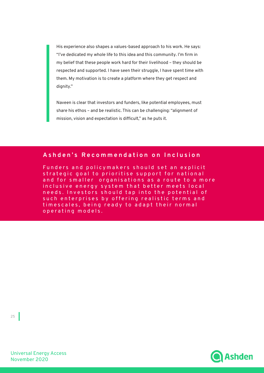His experience also shapes a values-based approach to his work. He says: "I've dedicated my whole life to this idea and this community. I'm firm in my belief that these people work hard for their livelihood – they should be respected and supported. I have seen their struggle, I have spent time with them. My motivation is to create a platform where they get respect and dignity."

Naveen is clear that investors and funders, like potential employees, must share his ethos – and be realistic. This can be challenging: "alignment of mission, vision and expectation is difficult," as he puts it.

#### **Ashden's Recommendation on Inclusion**

Funders and policymakers should set an explicit strategic goal to prioritise support for national and for smaller organisations as a route to a more inclusive energy system that better meets local needs. Investors should tap into the potential of such enterprises by offering realistic terms and timescales, being ready to adapt their normal operating models.



Universal Energy Access November 2020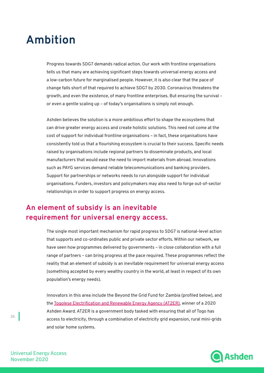## **Ambition**

Progress towards SDG7 demands radical action. Our work with frontline organisations tells us that many are achieving significant steps towards universal energy access and a low-carbon future for marginalised people. However, it is also clear that the pace of change falls short of that required to achieve SDG7 by 2030. Coronavirus threatens the growth, and even the existence, of many frontline enterprises. But ensuring the survival – or even a gentle scaling up – of today's organisations is simply not enough.

Ashden believes the solution is a more ambitious effort to shape the ecosystems that can drive greater energy access and create holistic solutions. This need not come at the cost of support for individual frontline organisations – in fact, these organisations have consistently told us that a flourishing ecosystem is crucial to their success. Specific needs raised by organisations include regional partners to disseminate products, and local manufacturers that would ease the need to import materials from abroad. Innovations such as PAYG services demand reliable telecommunications and banking providers. Support for partnerships or networks needs to run alongside support for individual organisations. Funders, investors and policymakers may also need to forge out-of-sector relationships in order to support progress on energy access.

### **An element of subsidy is an inevitable requirement for universal energy access.**

The single most important mechanism for rapid progress to SDG7 is national-level action that supports and co-ordinates public and private sector efforts. Within our network, we have seen how programmes delivered by governments – in close collaboration with a full range of partners – can bring progress at the pace required. These programmes reflect the reality that an element of subsidy is an inevitable requirement for universal energy access (something accepted by every wealthy country in the world, at least in respect of its own population's energy needs).

Innovators in this area include the Beyond the Grid Fund for Zambia (profiled below), and the Togolese Electrification and Renewable Energy Agency (AT2ER), winner of a 2020 Ashden Award. AT2ER is a government body tasked with ensuring that all of Togo has access to electricity, through a combination of electricity grid expansion, rural mini-grids and solar home systems.



Universal Energy Access November 2020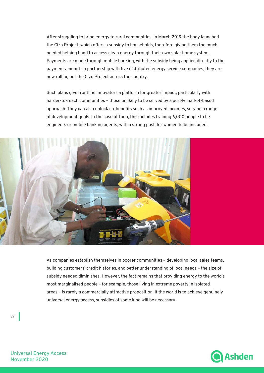After struggling to bring energy to rural communities, in March 2019 the body launched the Cizo Project, which offers a subsidy to households, therefore giving them the much needed helping hand to access clean energy through their own solar home system. Payments are made through mobile banking, with the subsidy being applied directly to the payment amount. In partnership with five distributed energy service companies, they are now rolling out the Cizo Project across the country.

Such plans give frontline innovators a platform for greater impact, particularly with harder-to-reach communities – those unlikely to be served by a purely market-based approach. They can also unlock co-benefits such as improved incomes, serving a range of development goals. In the case of Togo, this includes training 6,000 people to be engineers or mobile banking agents, with a strong push for women to be included.



As companies establish themselves in poorer communities – developing local sales teams, building customers' credit histories, and better understanding of local needs – the size of subsidy needed diminishes. However, the fact remains that providing energy to the world's most marginalised people – for example, those living in extreme poverty in isolated areas – is rarely a commercially attractive proposition. If the world is to achieve genuinely universal energy access, subsidies of some kind will be necessary.



Universal Energy Access November 2020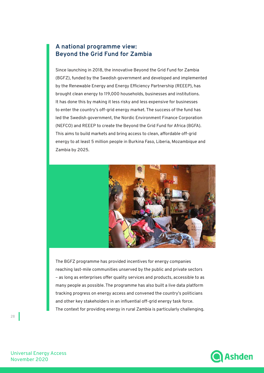#### **A national programme view: Beyond the Grid Fund for Zambia**

Since launching in 2018, the innovative Beyond the Grid Fund for Zambia (BGFZ), funded by the Swedish government and developed and implemented by the Renewable Energy and Energy Efficiency Partnership (REEEP), has brought clean energy to 119,000 households, businesses and institutions. It has done this by making it less risky and less expensive for businesses to enter the country's off-grid energy market. The success of the fund has led the Swedish government, the Nordic Environment Finance Corporation (NEFCO) and REEEP to create the Beyond the Grid Fund for Africa (BGFA). This aims to build markets and bring access to clean, affordable off-grid energy to at least 5 million people in Burkina Faso, Liberia, Mozambique and Zambia by 2025.



The BGFZ programme has provided incentives for energy companies reaching last-mile communities unserved by the public and private sectors – as long as enterprises offer quality services and products, accessible to as many people as possible. The programme has also built a live data platform tracking progress on energy access and convened the country's politicians and other key stakeholders in an influential off-grid energy task force. The context for providing energy in rural Zambia is particularly challenging.



Universal Energy Access November 2020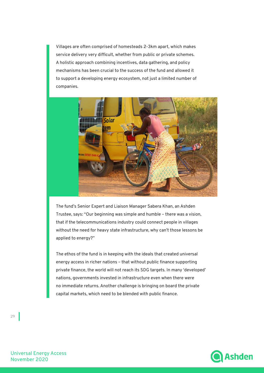Villages are often comprised of homesteads 2-3km apart, which makes service delivery very difficult, whether from public or private schemes. A holistic approach combining incentives, data gathering, and policy mechanisms has been crucial to the success of the fund and allowed it to support a developing energy ecosystem, not just a limited number of companies.



The fund's Senior Expert and Liaison Manager Sabera Khan, an Ashden Trustee, says: "Our beginning was simple and humble – there was a vision, that if the telecommunications industry could connect people in villages without the need for heavy state infrastructure, why can't those lessons be applied to energy?"

The ethos of the fund is in keeping with the ideals that created universal energy access in richer nations – that without public finance supporting private finance, the world will not reach its SDG targets. In many 'developed' nations, governments invested in infrastructure even when there were no immediate returns. Another challenge is bringing on board the private capital markets, which need to be blended with public finance.



Universal Energy Access November 2020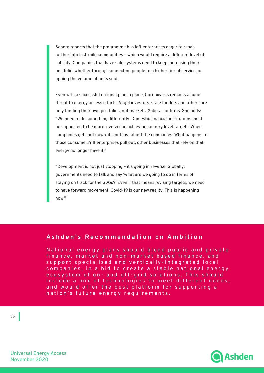Sabera reports that the programme has left enterprises eager to reach further into last-mile communities – which would require a different level of subsidy. Companies that have sold systems need to keep increasing their portfolio, whether through connecting people to a higher tier of service, or upping the volume of units sold.

Even with a successful national plan in place, Coronovirus remains a huge threat to energy access efforts. Angel investors, state funders and others are only funding their own portfolios, not markets, Sabera confirms. She adds: "We need to do something differently. Domestic financial institutions must be supported to be more involved in achieving country level targets. When companies get shut down, it's not just about the companies. What happens to those consumers? If enterprises pull out, other businesses that rely on that energy no longer have it."

"Development is not just stopping – it's going in reverse. Globally, governments need to talk and say 'what are we going to do in terms of staying on track for the SDGs?' Even if that means revising targets, we need to have forward movement. Covid-19 is our new reality. This is happening now."

#### **Ashden's Recommendation on Ambition**

National energy plans should blend public and private finance, market and non-market based finance, and support specialised and vertically-integrated local companies, in a bid to create a stable national energy ecosystem of on- and off-grid solutions. This should include a mix of technologies to meet different needs, and would offer the best platform for supporting a nation's future energy requirements.



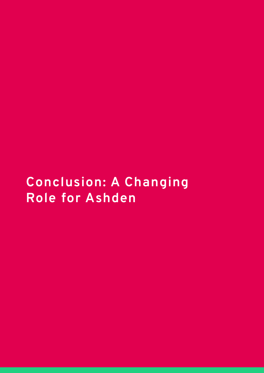## **Conclusion: A Changing Role for Ashden**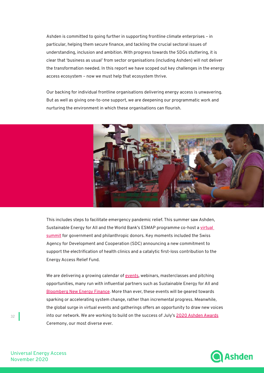Ashden is committed to going further in supporting frontline climate enterprises – in particular, helping them secure finance, and tackling the crucial sectoral issues of understanding, inclusion and ambition. With progress towards the SDGs stuttering, it is clear that 'business as usual' from sector organisations (including Ashden) will not deliver the transformation needed. In this report we have scoped out key challenges in the energy access ecosystem – now we must help that ecosystem thrive.

Our backing for individual frontline organisations delivering energy access is unwavering. But as well as giving one-to-one support, we are deepening our programmatic work and nurturing the environment in which these organisations can flourish.



This includes steps to facilitate emergency pandemic relief. This summer saw Ashden, Sustainable Energy for All and the World Bank's ESMAP programme co-host a virtual summit for government and philanthropic donors. Key moments included the Swiss Agency for Development and Cooperation (SDC) announcing a new commitment to support the electrification of health clinics and a catalytic first-loss contribution to the Energy Access Relief Fund.

We are delivering a growing calendar of events, webinars, masterclasses and pitching opportunities, many run with influential partners such as Sustainable Energy for All and Bloomberg New Energy Finance. More than ever, these events will be geared towards sparking or accelerating system change, rather than incremental progress. Meanwhile, the global surge in virtual events and gatherings offers an opportunity to draw new voices into our network. We are working to build on the success of July's 2020 Ashden Awards Ceremony, our most diverse ever.



Universal Energy Access November 2020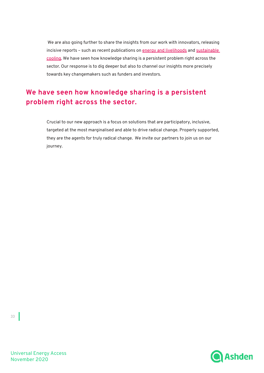We are also going further to share the insights from our work with innovators, releasing incisive reports - such as recent publications on energy and livelihoods and sustainable cooling. We have seen how knowledge sharing is a persistent problem right across the sector. Our response is to dig deeper but also to channel our insights more precisely towards key changemakers such as funders and investors.

### **We have seen how knowledge sharing is a persistent problem right across the sector.**

Crucial to our new approach is a focus on solutions that are participatory, inclusive, targeted at the most marginalised and able to drive radical change. Properly supported, they are the agents for truly radical change. We invite our partners to join us on our journey.



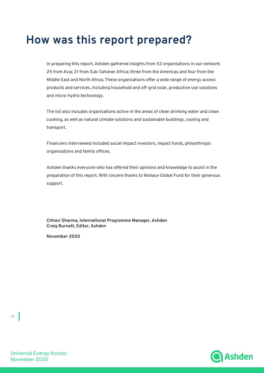## **How was this report prepared?**

In preparing this report, Ashden gathered insights from 53 organisations in our network; 25 from Asia; 21 from Sub-Saharan Africa; three from the Americas and four from the Middle East and North Africa. These organisations offer a wide range of energy access products and services, including household and off-grid solar, productive use solutions and micro-hydro technology.

The list also includes organisations active in the areas of clean drinking water and clean cooking, as well as natural climate solutions and sustainable buildings, cooling and transport.

Financiers interviewed included social impact investors, impact funds, philanthropic organisations and family offices.

Ashden thanks everyone who has offered their opinions and knowledge to assist in the preparation of this report. With sincere thanks to Wallace Global Fund for their generous support.

**Chhavi Sharma, International Programme Manager, Ashden Craig Burnett, Editor, Ashden**

**November 2020**

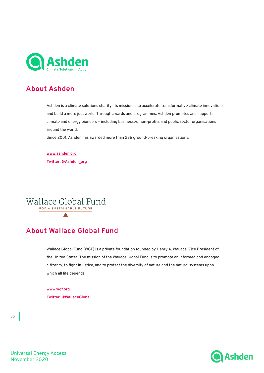

### **About Ashden**

Ashden is a climate solutions charity. Its mission is to accelerate transformative climate innovations and build a more just world. Through awards and programmes, Ashden promotes and supports climate and energy pioneers – including businesses, non-profits and public sector organisations around the world.

Since 2001, Ashden has awarded more than 236 ground-breaking organisations.

**www.ashden.org Twitter: @Ashden\_org**

Wallace Global Fund FOR A SUSTAINABLE FUTURE

### **About Wallace Global Fund**

Wallace Global Fund (WGF) is a private foundation founded by Henry A. Wallace, Vice President of the United States. The mission of the Wallace Global Fund is to promote an informed and engaged citizenry, to fight injustice, and to protect the diversity of nature and the natural systems upon which all life depends.

**www.wgf.org Twitter: @WallaceGlobal**

35

Universal Energy Access November 2020